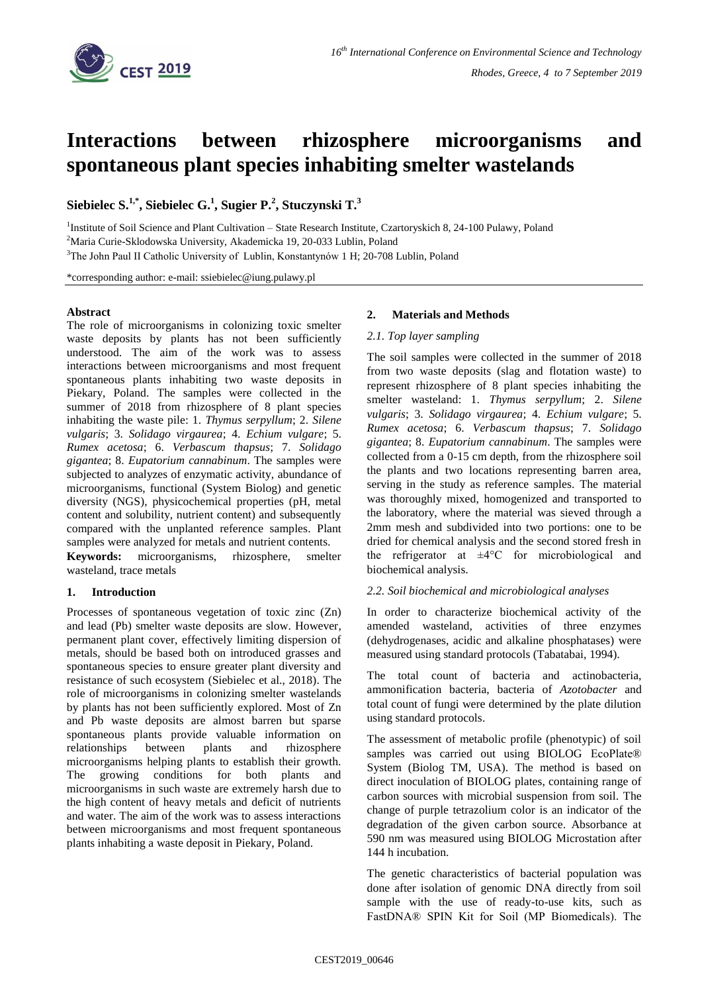

# **Interactions between rhizosphere microorganisms and spontaneous plant species inhabiting smelter wastelands**

**Siebielec S. 1,\* , Siebielec G. 1 , Sugier P. 2 , Stuczynski T. 3**

<sup>1</sup>Institute of Soil Science and Plant Cultivation - State Research Institute, Czartoryskich 8, 24-100 Pulawy, Poland

<sup>2</sup>Maria Curie-Sklodowska University, Akademicka 19, 20-033 Lublin, Poland

<sup>3</sup>The John Paul II Catholic University of Lublin, Konstantynów 1 H; 20-708 Lublin, Poland

\*corresponding author: e-mail: ssiebielec@iung.pulawy.pl

## **Abstract**

The role of microorganisms in colonizing toxic smelter waste deposits by plants has not been sufficiently understood. The aim of the work was to assess interactions between microorganisms and most frequent spontaneous plants inhabiting two waste deposits in Piekary, Poland. The samples were collected in the summer of 2018 from rhizosphere of 8 plant species inhabiting the waste pile: 1. *Thymus serpyllum*; 2. *Silene vulgaris*; 3. *Solidago virgaurea*; 4. *Echium vulgare*; 5. *Rumex acetosa*; 6. *Verbascum thapsus*; 7. *Solidago gigantea*; 8. *Eupatorium cannabinum*. The samples were subjected to analyzes of enzymatic activity, abundance of microorganisms, functional (System Biolog) and genetic diversity (NGS), physicochemical properties (pH, metal content and solubility, nutrient content) and subsequently compared with the unplanted reference samples. Plant samples were analyzed for metals and nutrient contents.

**Keywords:** microorganisms, rhizosphere, smelter wasteland, trace metals

## **1. Introduction**

Processes of spontaneous vegetation of toxic zinc (Zn) and lead (Pb) smelter waste deposits are slow. However, permanent plant cover, effectively limiting dispersion of metals, should be based both on introduced grasses and spontaneous species to ensure greater plant diversity and resistance of such ecosystem (Siebielec et al., 2018). The role of microorganisms in colonizing smelter wastelands by plants has not been sufficiently explored. Most of Zn and Pb waste deposits are almost barren but sparse spontaneous plants provide valuable information on relationships between plants and rhizosphere microorganisms helping plants to establish their growth. The growing conditions for both plants and microorganisms in such waste are extremely harsh due to the high content of heavy metals and deficit of nutrients and water. The aim of the work was to assess interactions between microorganisms and most frequent spontaneous plants inhabiting a waste deposit in Piekary, Poland.

## **2. Materials and Methods**

## *2.1. Top layer sampling*

The soil samples were collected in the summer of 2018 from two waste deposits (slag and flotation waste) to represent rhizosphere of 8 plant species inhabiting the smelter wasteland: 1. *Thymus serpyllum*; 2. *Silene vulgaris*; 3. *Solidago virgaurea*; 4. *Echium vulgare*; 5. *Rumex acetosa*; 6. *Verbascum thapsus*; 7. *Solidago gigantea*; 8. *Eupatorium cannabinum*. The samples were collected from a 0-15 cm depth, from the rhizosphere soil the plants and two locations representing barren area, serving in the study as reference samples. The material was thoroughly mixed, homogenized and transported to the laboratory, where the material was sieved through a 2mm mesh and subdivided into two portions: one to be dried for chemical analysis and the second stored fresh in the refrigerator at  $\pm 4^{\circ}$ C for microbiological and biochemical analysis.

## *2.2. Soil biochemical and microbiological analyses*

In order to characterize biochemical activity of the amended wasteland, activities of three enzymes (dehydrogenases, acidic and alkaline phosphatases) were measured using standard protocols (Tabatabai, 1994).

The total count of bacteria and actinobacteria, ammonification bacteria, bacteria of *Azotobacter* and total count of fungi were determined by the plate dilution using standard protocols.

The assessment of metabolic profile (phenotypic) of soil samples was carried out using BIOLOG EcoPlate® System (Biolog TM, USA). The method is based on direct inoculation of BIOLOG plates, containing range of carbon sources with microbial suspension from soil. The change of purple tetrazolium color is an indicator of the degradation of the given carbon source. Absorbance at 590 nm was measured using BIOLOG Microstation after 144 h incubation.

The genetic characteristics of bacterial population was done after isolation of genomic DNA directly from soil sample with the use of ready-to-use kits, such as FastDNA® SPIN Kit for Soil (MP Biomedicals). The